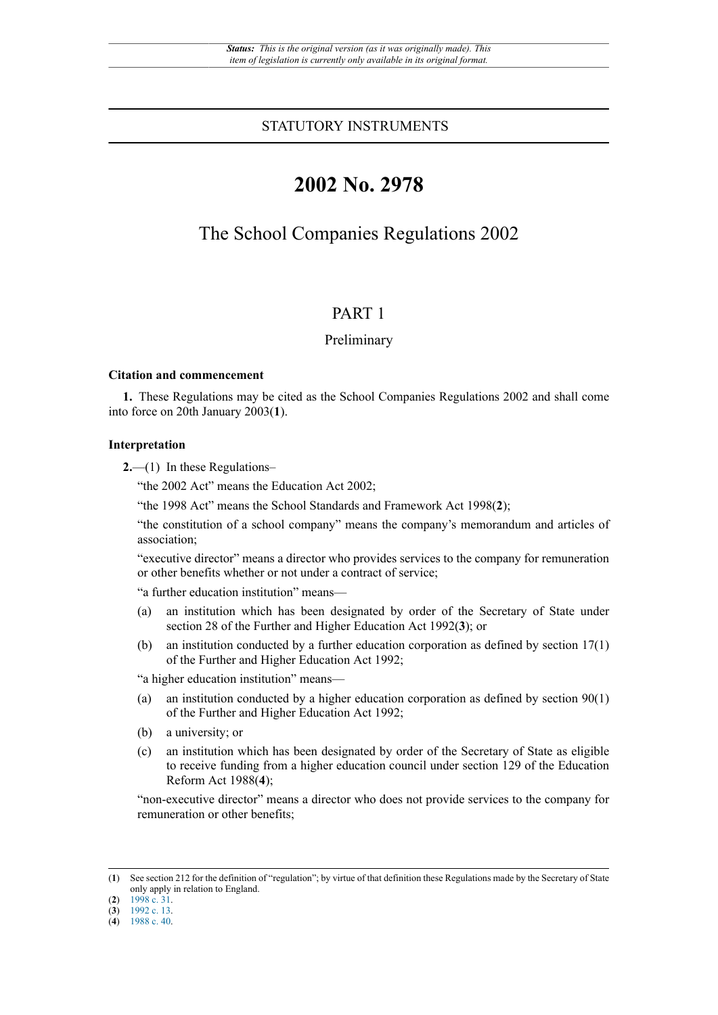## STATUTORY INSTRUMENTS

# **2002 No. 2978**

## The School Companies Regulations 2002

## PART 1

### Preliminary

#### **Citation and commencement**

**1.** These Regulations may be cited as the School Companies Regulations 2002 and shall come into force on 20th January 2003(**1**).

#### **Interpretation**

**2.**—(1) In these Regulations–

"the 2002 Act" means the Education Act 2002;

"the 1998 Act" means the School Standards and Framework Act 1998(**2**);

"the constitution of a school company" means the company's memorandum and articles of association;

"executive director" means a director who provides services to the company for remuneration or other benefits whether or not under a contract of service;

"a further education institution" means—

- (a) an institution which has been designated by order of the Secretary of State under section 28 of the Further and Higher Education Act 1992(**3**); or
- (b) an institution conducted by a further education corporation as defined by section 17(1) of the Further and Higher Education Act 1992;

"a higher education institution" means—

- (a) an institution conducted by a higher education corporation as defined by section  $90(1)$ of the Further and Higher Education Act 1992;
- (b) a university; or
- (c) an institution which has been designated by order of the Secretary of State as eligible to receive funding from a higher education council under section 129 of the Education Reform Act 1988(**4**);

"non-executive director" means a director who does not provide services to the company for remuneration or other benefits;

<sup>(</sup>**1**) See section 212 for the definition of "regulation"; by virtue of that definition these Regulations made by the Secretary of State only apply in relation to England.

<sup>(</sup>**2**) [1998 c. 31.](http://www.legislation.gov.uk/id/ukpga/1998/31)

<sup>(</sup>**3**) [1992 c. 13.](http://www.legislation.gov.uk/id/ukpga/1992/13)

<sup>(</sup>**4**) [1988 c. 40.](http://www.legislation.gov.uk/id/ukpga/1988/40)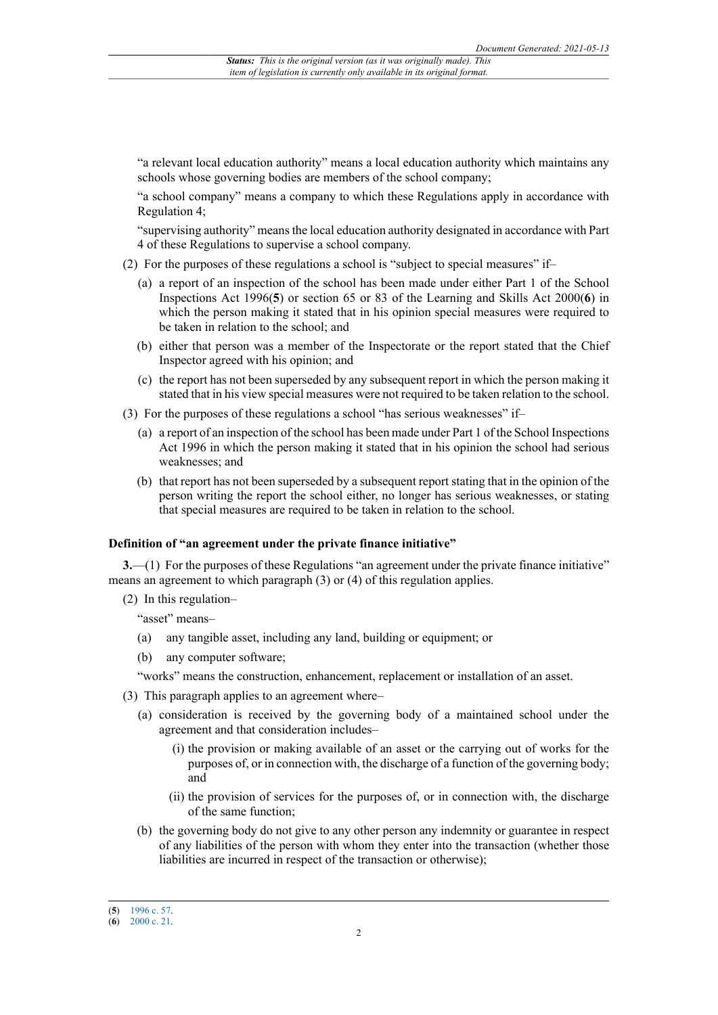"a relevant local education authority" means a local education authority which maintains any schools whose governing bodies are members of the school company;

"a school company" means a company to which these Regulations apply in accordance with Regulation 4;

"supervising authority" means the local education authority designated in accordance with Part 4 of these Regulations to supervise a school company.

- (2) For the purposes of these regulations a school is "subject to special measures" if–
	- (a) a report of an inspection of the school has been made under either Part 1 of the School Inspections Act 1996(**5**) or section 65 or 83 of the Learning and Skills Act 2000(**6**) in which the person making it stated that in his opinion special measures were required to be taken in relation to the school; and
	- (b) either that person was a member of the Inspectorate or the report stated that the Chief Inspector agreed with his opinion; and
	- (c) the report has not been superseded by any subsequent report in which the person making it stated that in his view special measures were not required to be taken relation to the school.
- (3) For the purposes of these regulations a school "has serious weaknesses" if–
	- (a) a report of an inspection of the school has been made under Part 1 of the School Inspections Act 1996 in which the person making it stated that in his opinion the school had serious weaknesses; and
	- (b) that report has not been superseded by a subsequent report stating that in the opinion of the person writing the report the school either, no longer has serious weaknesses, or stating that special measures are required to be taken in relation to the school.

#### **Definition of "an agreement under the private finance initiative"**

**3.**—(1) For the purposes of these Regulations "an agreement under the private finance initiative" means an agreement to which paragraph (3) or (4) of this regulation applies.

(2) In this regulation–

"asset" means–

- (a) any tangible asset, including any land, building or equipment; or
- (b) any computer software;

"works" means the construction, enhancement, replacement or installation of an asset.

- (3) This paragraph applies to an agreement where–
	- (a) consideration is received by the governing body of a maintained school under the agreement and that consideration includes–
		- (i) the provision or making available of an asset or the carrying out of works for the purposes of, or in connection with, the discharge of a function of the governing body; and
		- (ii) the provision of services for the purposes of, or in connection with, the discharge of the same function;
	- (b) the governing body do not give to any other person any indemnity or guarantee in respect of any liabilities of the person with whom they enter into the transaction (whether those liabilities are incurred in respect of the transaction or otherwise);

<sup>(</sup>**5**) [1996 c. 57.](http://www.legislation.gov.uk/id/ukpga/1996/57)

<sup>(</sup>**6**) [2000 c. 21.](http://www.legislation.gov.uk/id/ukpga/2000/21)